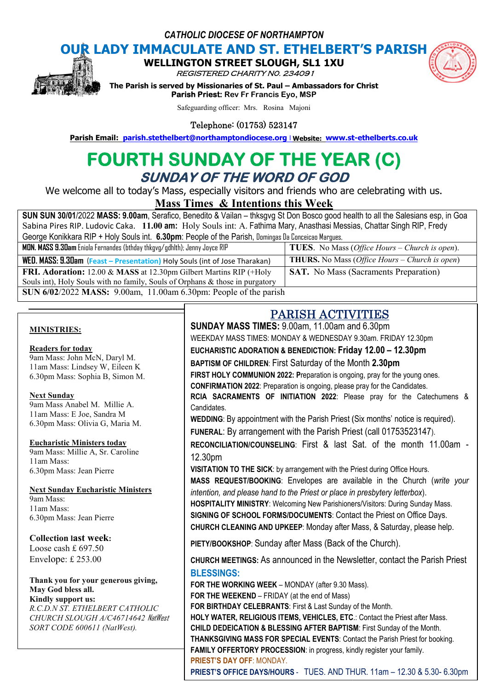*CATHOLIC DIOCESE OF NORTHAMPTON*

# **OUR LADY IMMACULATE AND ST. ETHELBERT'S PARISH<br>
WELLINGTON STREET SLOUGH, SL1 1XU**



**WELLINGTON STREET** 

REGISTERED CHARITY N0. 234091

**The Parism INDITION STREET SLOUGH, SL1 1XU<br>***REGISTERED CHARITY NO. 234091***<br>The Parish is served by Missionaries of St. Paul – Ambassadors for Christ Parish Priest: Rev Fr Francis Eyo, MSP Parish Email:** Parish is served by Missionaries of St. Paul – Ambassadors for Christ<br> **Parish Priest:** Rev Fr Francis Eyo, MSP<br>
Safeguarding officer: Mrs. Rosina Majoni<br> **Parish Email:** parish.stethelbert@northamptondioce

Safeguarding officer: Mrs. Rosina Majoni

Telephone: (01753) 523147

## **FOURTH SUNDAY OF THE YEAR (C) (C) SUNDAY OF THE WORD OF GOD**

We welcome all to today's Mass, especially visitors and friends who are celebrating with us.

**Mass Times Times & Intentions this Week** 

SUN SUN 30/01/2022 MASS: 9.00am, Serafico, Benedito & Vailan – thksgvg St Don Bosco good health to all the Salesians esp, in Goa Sabina Pires RIP. Ludovic Caka. 11.00 am: Holy Souls int: A. Fathima Mary, Anasthasi Messias, Chattar Singh RIP, Fredy George Konikkara RIP + Holy Souls int. 6.30pm: People of the Parish, Domingas Da Conceicao Margues, **MON. MASS 9.30am** Eniola Fernandes (bthday thkgvg/gdhlth); Jenny Joyce RIP **TUES**. No Mass ( No Mass *Office Hours – Church is open*).

 $WED.$   $MASS: B.30$ am (Feast – Presentation) Holy Souls (int of Jose Tharakan)  $\qquad \qquad | \text{ THURS. No Mass (a)}|$ FRI. Adoration: 12.00 & MASS at 12.30pm Gilbert Martins RIP (+Holy Souls int), Holy Souls with no family, Souls of Orphans & those in purgatory **SUN 6/02/2022 MASS:** 9.00am, 11.00am 6.30pm: People of the parish **SAT.** No Mass (Sacraments Preparation) No Mass *Office Hours – Church is open*)

#### **MINISTRIES:**

#### **Readers for today**

9am Mass: John McN, Daryl M. 11am Mass: Lindsey W, Eileen K 6.30pm Mass: Sophia B, Simon M.

#### **Next Sunday**

9am Mass Anabel M. Millie A. 11am Mass: E Joe, Sandra M 6.30pm Mass: Olivia G, Maria M.

#### **Eucharistic Ministers today**

9am Mass: Millie A, Sr. Caroline 11am Mass: 6.30pm Mass: Jean Pierre

#### **Next Sunday Eucharistic Ministers**

9am Mass: 11am Mass: 6.30pm Mass: Jean Pierre

#### **Collection last week:**

Loose cash £ 697.50 Envelope: £ 253.00

#### **Thank you for your generous giving, May God bless all. Kindly support us:**

*R.C.D.N ST. ETHELBERT CATHOLIC CHURCH SLOUGH A/C46714642* NatWest *SORT CODE 600611 (NatWest).*

## PARISH ACTIVITIES PARISH ACTIVITIES

**SUNDAY MASS TIMES:** 9.00am, 11.00am and 6.30pm 11.00am and 6.30pm

WEEKDAY MASS TIMES: MONDAY & WEDNESDAY 9.30am. FRIDAY 12.30pm

## **EUCHARISTIC ADORATION & BENEDICTION: Friday 1 Friday 12.00 – 12.30pm**

BAPTISM OF CHILDREN: First Saturday of the Month 2.30pm

**FIRST HOLY COMMUNION 2022: Preparation is ongoing, pray for the young ones. CONFIRMATION 2022**: Preparation is ongoing, please pray for the Candidates.

**RCIA SACRAMENTS OF INITIATION 2022**: Please pray for the Catechumens & Candidates. **RCIA SACRAMENTS OF INITIATION 2022**: Please pray for the Catechumen<br>Candidates.<br>WEDDING: By appointment with the Parish Priest (Six months' notice is required).

FUNERAL: By arrangement with the Parish Priest (call 01753523147).

RECONCILIATION/COUNSELING: First & last Sat. of the month 11.00am -12.30pm

**VISITATION TO THE SICK**: by arrangement with the Priest during Office Hours.

**MASS REQUEST/BOOKING**: Envelopes are available in the Church ( *write your intention, and please hand to the Priest or place in presbytery letterbox).* 

HOSPITALITY MINISTRY: Welcoming New Parishioners/Visitors: During Sunday Mass. **SIGNING OF SCHOOL FORMS/DOCUMENTS**: Contact the Priest on Office Days. **CHURCH CLEANING AND UPKEEP:** Monday after Mass, & Saturday, please help.

**PIETY/BOOKSHOP**: Sunday after Mass (Back of the Church).

CHURCH MEETINGS: As announced in the Newsletter, contact the Parish Priest **BLESSINGS:**

**FOR THE WORKING WEEK** – MONDAY (after 9.30 Mass).

**FOR THE WEEKEND** – FRIDAY (at the end of Mass)

**FOR BIRTHDAY CELEBRANTS**: First & Last Sunday of the Month.

**FAMILY OFFERTORY PROCESSION: in progress, kindly register your family. HOLY WATER, RELIGIOUS ITEMS, VEHICLES, ETC.: Contact the Priest after Mass. CHILD DEDEICATION & BLESSING AFTER BAPTISM: First Sunday of the Month.** THANKSGIVING MASS FOR SPECIAL EVENTS: Contact the Parish Priest for booking.

**PRIEST'S DAY OFF**: MONDAY.

**FAMILY OFFERTORY PROCESSION**: in progress, kindly register your family.<br><mark>PRIEST'S DAY OFF: MONDAY.</mark><br>PRIEST'S OFFICE DAYS/HOURS - TUES. AND THUR. 11am – 12.30 & 5.30- 6.30pm